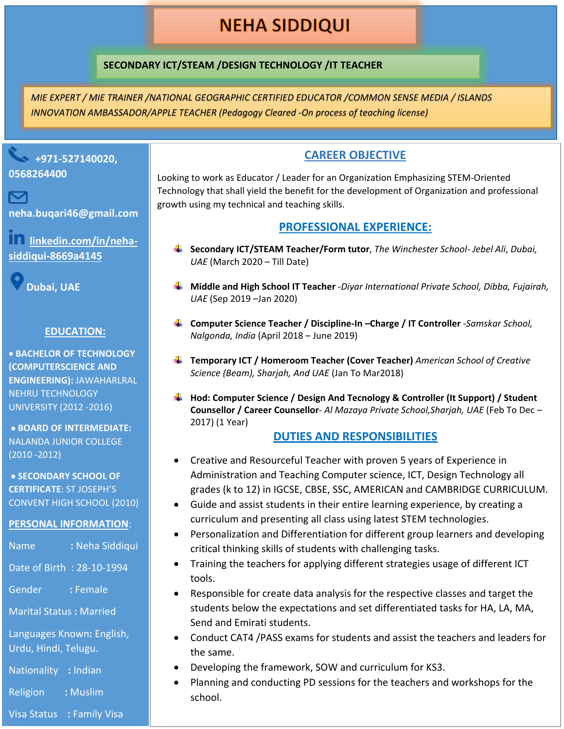# **NEHA SIDDIQUI**

## **SECONDARY ICT/STEAM /DESIGN TECHNOLOGY /IT TEACHER**

*MIE EXPERT / MIE TRAINER /NATIONAL GEOGRAPHIC CERTIFIED EDUCATOR /COMMON SENSE MEDIA / ISLANDS INNOVATION AMBASSADOR/APPLE TEACHER (Pedagogy Cleared -On process of teaching license)*



**neha.buqari46@gmail.com**

**linkedin.com/in/nehasiddiqui-8669a4145**

**Dubai, UAE**

#### **EDUCATION:**

• **BACHELOR OF TECHNOLOGY (COMPUTERSCIENCE AND ENGINEERING):** JAWAHARLRAL NEHRU TECHNOLOGY UNIVERSITY (2012 -2016)

• **BOARD OF INTERMEDIATE:**  NALANDA JUNIOR COLLEGE (2010 -2012)

• **SECONDARY SCHOOL OF CERTIFICATE**: ST JOSEPH'S CONVENT HIGH SCHOOL (2010)

#### **PERSONAL INFORMATION**:

| <b>Name</b>                                       | : Neha Siddiqui |
|---------------------------------------------------|-----------------|
| Date of Birth: 28-10-1994                         |                 |
| Gender                                            | : Female        |
| <b>Marital Status: Married</b>                    |                 |
| Languages Known: English,<br>Urdu, Hindi, Telugu. |                 |
| Nationality : Indian                              |                 |

Religion **:** Muslim

#### Visa Status **:** Family Visa

## **CAREER OBJECTIVE**

Looking to work as Educator / Leader for an Organization Emphasizing STEM-Oriented Technology that shall yield the benefit for the development of Organization and professional growth using my technical and teaching skills.

#### **PROFESSIONAL EXPERIENCE:**

- **Secondary ICT/STEAM Teacher/Form tutor**, *The Winchester School- Jebel Ali*, *Dubai, UAE* (March 2020 – Till Date)
- **Middle and High School IT Teacher** -*Diyar International Private School, Dibba, Fujairah, UAE* (Sep 2019 –Jan 2020)
- **Computer Science Teacher / Discipline-In –Charge / IT Controller** -*Samskar School, Nalgonda, India* (April 2018 – June 2019)
- **Temporary ICT / Homeroom Teacher (Cover Teacher)** *American School of Creative Science (Beam), Sharjah, And UAE* (Jan To Mar2018)
- **Hod: Computer Science / Design And Tecnology & Controller (It Support) / Student Counsellor / Career Counsellor**- *Al Mazaya Private School,Sharjah, UAE* (Feb To Dec – 2017) (1 Year)

## **DUTIES AND RESPONSIBILITIES**

- Creative and Resourceful Teacher with proven 5 years of Experience in Administration and Teaching Computer science, ICT, Design Technology all grades (k to 12) in IGCSE, CBSE, SSC, AMERICAN and CAMBRIDGE CURRICULUM.
- Guide and assist students in their entire learning experience, by creating a curriculum and presenting all class using latest STEM technologies.
- Personalization and Differentiation for different group learners and developing critical thinking skills of students with challenging tasks.
- Training the teachers for applying different strategies usage of different ICT tools.
- Responsible for create data analysis for the respective classes and target the students below the expectations and set differentiated tasks for HA, LA, MA, Send and Emirati students.
- Conduct CAT4 /PASS exams for students and assist the teachers and leaders for the same.
- Developing the framework, SOW and curriculum for KS3.
- Planning and conducting PD sessions for the teachers and workshops for the school.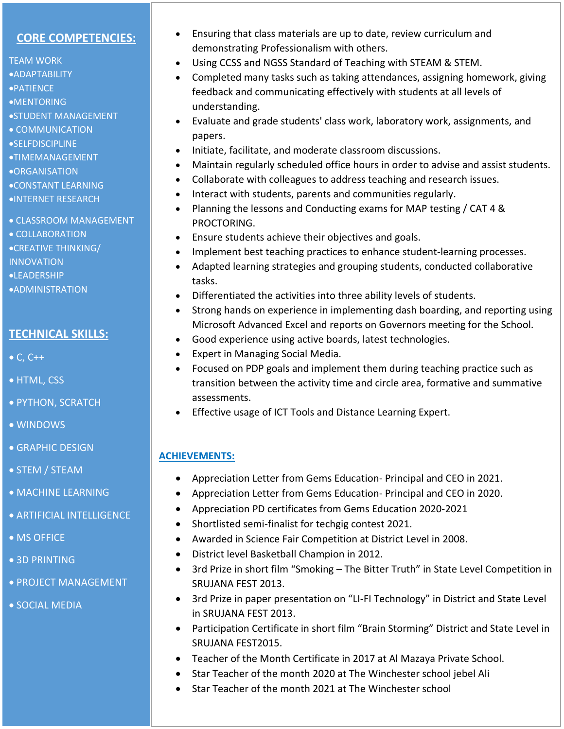#### **CORE COMPETENCIES:**

TEAM WORK •ADAPTABILITY •PATIENCE •MENTORING •STUDENT MANAGEMENT • COMMUNICATION •SELFDISCIPLINE •TIMEMANAGEMENT •ORGANISATION •CONSTANT LEARNING •INTERNET RESEARCH

## • CLASSROOM MANAGEMENT • COLLABORATION

•CREATIVE THINKING/

INNOVATION

•LEADERSHIP

•ADMINISTRATION

## **TECHNICAL SKILLS:**

 $\bullet$  C, C++

- HTML, CSS
- PYTHON, SCRATCH
- WINDOWS
- **GRAPHIC DESIGN**
- STEM / STEAM
- MACHINE LEARNING
- ARTIFICIAL INTELLIGENCE
- MS OFFICE
- 3D PRINTING
- PROJECT MANAGEMENT
- SOCIAL MEDIA
- Ensuring that class materials are up to date, review curriculum and demonstrating Professionalism with others.
- Using CCSS and NGSS Standard of Teaching with STEAM & STEM.
- Completed many tasks such as taking attendances, assigning homework, giving feedback and communicating effectively with students at all levels of understanding.
- Evaluate and grade students' class work, laboratory work, assignments, and papers.
- Initiate, facilitate, and moderate classroom discussions.
- Maintain regularly scheduled office hours in order to advise and assist students.
- Collaborate with colleagues to address teaching and research issues.
- Interact with students, parents and communities regularly.
- Planning the lessons and Conducting exams for MAP testing / CAT 4 & PROCTORING.
- Ensure students achieve their objectives and goals.
- Implement best teaching practices to enhance student-learning processes.
- Adapted learning strategies and grouping students, conducted collaborative tasks.
- Differentiated the activities into three ability levels of students.
- Strong hands on experience in implementing dash boarding, and reporting using Microsoft Advanced Excel and reports on Governors meeting for the School.
- Good experience using active boards, latest technologies.
- Expert in Managing Social Media.
- Focused on PDP goals and implement them during teaching practice such as transition between the activity time and circle area, formative and summative assessments.
- Effective usage of ICT Tools and Distance Learning Expert.

# **ACHIEVEMENTS:**

- Appreciation Letter from Gems Education- Principal and CEO in 2021.
- Appreciation Letter from Gems Education- Principal and CEO in 2020.
- Appreciation PD certificates from Gems Education 2020-2021
- Shortlisted semi-finalist for techgig contest 2021.
- Awarded in Science Fair Competition at District Level in 2008.
- District level Basketball Champion in 2012.
- 3rd Prize in short film "Smoking The Bitter Truth" in State Level Competition in SRUJANA FEST 2013.
- 3rd Prize in paper presentation on "LI-FI Technology" in District and State Level in SRUJANA FEST 2013.
- Participation Certificate in short film "Brain Storming" District and State Level in SRUJANA FEST2015.
- Teacher of the Month Certificate in 2017 at Al Mazaya Private School.
- Star Teacher of the month 2020 at The Winchester school jebel Ali
- Star Teacher of the month 2021 at The Winchester school